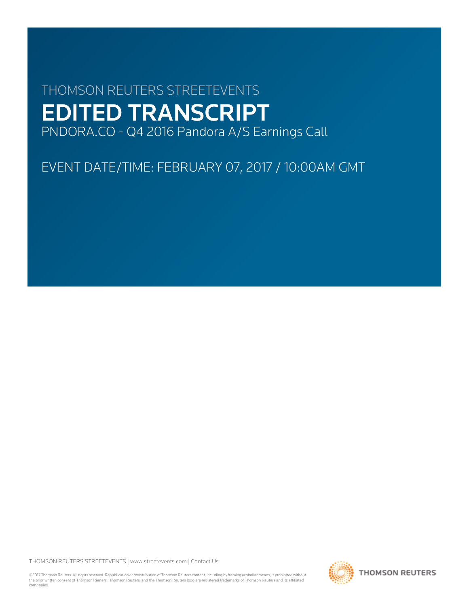# THOMSON REUTERS STREETEVENTS EDITED TRANSCRIPT PNDORA.CO - Q4 2016 Pandora A/S Earnings Call

EVENT DATE/TIME: FEBRUARY 07, 2017 / 10:00AM GMT

THOMSON REUTERS STREETEVENTS | [www.streetevents.com](http://www.streetevents.com) | [Contact Us](http://www010.streetevents.com/contact.asp)

©2017 Thomson Reuters. All rights reserved. Republication or redistribution of Thomson Reuters content, including by framing or similar means, is prohibited without the prior written consent of Thomson Reuters. 'Thomson Reuters' and the Thomson Reuters logo are registered trademarks of Thomson Reuters and its affiliated companies.

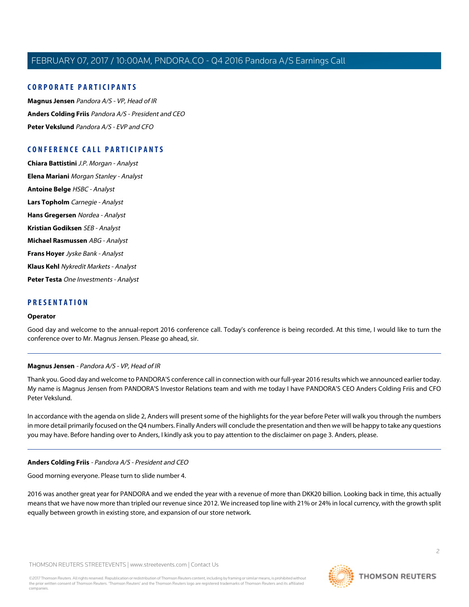# **CORPORATE PARTICIPANTS**

**[Magnus Jensen](#page-1-0)** Pandora A/S - VP, Head of IR **[Anders Colding Friis](#page-1-1)** Pandora A/S - President and CEO **[Peter Vekslund](#page-3-0)** Pandora A/S - EVP and CFO

# **CONFERENCE CALL PARTICIPANTS**

**[Chiara Battistini](#page-6-0)** J.P. Morgan - Analyst **[Elena Mariani](#page-8-0)** Morgan Stanley - Analyst **[Antoine Belge](#page-10-0)** HSBC - Analyst **[Lars Topholm](#page-12-0)** Carnegie - Analyst **[Hans Gregersen](#page-13-0)** Nordea - Analyst **[Kristian Godiksen](#page-14-0)** SEB - Analyst **[Michael Rasmussen](#page-15-0)** ABG - Analyst **[Frans Hoyer](#page-16-0)** Jyske Bank - Analyst **[Klaus Kehl](#page-18-0)** Nykredit Markets - Analyst **[Peter Testa](#page-18-1)** One Investments - Analyst

# **PRESENTATION**

#### **Operator**

<span id="page-1-0"></span>Good day and welcome to the annual-report 2016 conference call. Today's conference is being recorded. At this time, I would like to turn the conference over to Mr. Magnus Jensen. Please go ahead, sir.

# **Magnus Jensen** - Pandora A/S - VP, Head of IR

Thank you. Good day and welcome to PANDORA'S conference call in connection with our full-year 2016 results which we announced earlier today. My name is Magnus Jensen from PANDORA'S Investor Relations team and with me today I have PANDORA'S CEO Anders Colding Friis and CFO Peter Vekslund.

<span id="page-1-1"></span>In accordance with the agenda on slide 2, Anders will present some of the highlights for the year before Peter will walk you through the numbers in more detail primarily focused on the Q4 numbers. Finally Anders will conclude the presentation and then we will be happy to take any questions you may have. Before handing over to Anders, I kindly ask you to pay attention to the disclaimer on page 3. Anders, please.

# **Anders Colding Friis** - Pandora A/S - President and CEO

Good morning everyone. Please turn to slide number 4.

2016 was another great year for PANDORA and we ended the year with a revenue of more than DKK20 billion. Looking back in time, this actually means that we have now more than tripled our revenue since 2012. We increased top line with 21% or 24% in local currency, with the growth split equally between growth in existing store, and expansion of our store network.

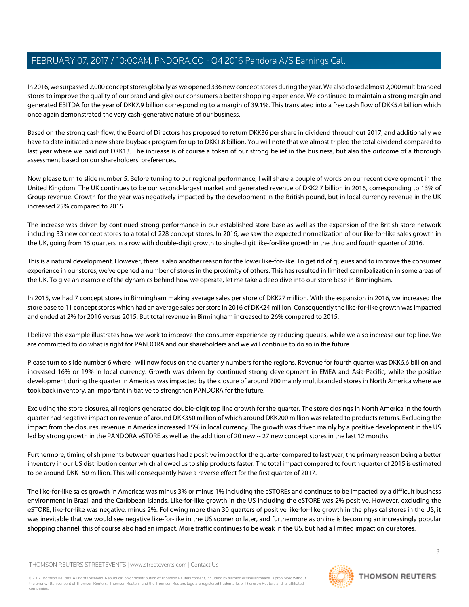In 2016, we surpassed 2,000 concept stores globally as we opened 336 new concept stores during the year. We also closed almost 2,000 multibranded stores to improve the quality of our brand and give our consumers a better shopping experience. We continued to maintain a strong margin and generated EBITDA for the year of DKK7.9 billion corresponding to a margin of 39.1%. This translated into a free cash flow of DKK5.4 billion which once again demonstrated the very cash-generative nature of our business.

Based on the strong cash flow, the Board of Directors has proposed to return DKK36 per share in dividend throughout 2017, and additionally we have to date initiated a new share buyback program for up to DKK1.8 billion. You will note that we almost tripled the total dividend compared to last year where we paid out DKK13. The increase is of course a token of our strong belief in the business, but also the outcome of a thorough assessment based on our shareholders' preferences.

Now please turn to slide number 5. Before turning to our regional performance, I will share a couple of words on our recent development in the United Kingdom. The UK continues to be our second-largest market and generated revenue of DKK2.7 billion in 2016, corresponding to 13% of Group revenue. Growth for the year was negatively impacted by the development in the British pound, but in local currency revenue in the UK increased 25% compared to 2015.

The increase was driven by continued strong performance in our established store base as well as the expansion of the British store network including 33 new concept stores to a total of 228 concept stores. In 2016, we saw the expected normalization of our like-for-like sales growth in the UK, going from 15 quarters in a row with double-digit growth to single-digit like-for-like growth in the third and fourth quarter of 2016.

This is a natural development. However, there is also another reason for the lower like-for-like. To get rid of queues and to improve the consumer experience in our stores, we've opened a number of stores in the proximity of others. This has resulted in limited cannibalization in some areas of the UK. To give an example of the dynamics behind how we operate, let me take a deep dive into our store base in Birmingham.

In 2015, we had 7 concept stores in Birmingham making average sales per store of DKK27 million. With the expansion in 2016, we increased the store base to 11 concept stores which had an average sales per store in 2016 of DKK24 million. Consequently the like-for-like growth was impacted and ended at 2% for 2016 versus 2015. But total revenue in Birmingham increased to 26% compared to 2015.

I believe this example illustrates how we work to improve the consumer experience by reducing queues, while we also increase our top line. We are committed to do what is right for PANDORA and our shareholders and we will continue to do so in the future.

Please turn to slide number 6 where I will now focus on the quarterly numbers for the regions. Revenue for fourth quarter was DKK6.6 billion and increased 16% or 19% in local currency. Growth was driven by continued strong development in EMEA and Asia-Pacific, while the positive development during the quarter in Americas was impacted by the closure of around 700 mainly multibranded stores in North America where we took back inventory, an important initiative to strengthen PANDORA for the future.

Excluding the store closures, all regions generated double-digit top line growth for the quarter. The store closings in North America in the fourth quarter had negative impact on revenue of around DKK350 million of which around DKK200 million was related to products returns. Excluding the impact from the closures, revenue in America increased 15% in local currency. The growth was driven mainly by a positive development in the US led by strong growth in the PANDORA eSTORE as well as the addition of 20 new -- 27 new concept stores in the last 12 months.

Furthermore, timing of shipments between quarters had a positive impact for the quarter compared to last year, the primary reason being a better inventory in our US distribution center which allowed us to ship products faster. The total impact compared to fourth quarter of 2015 is estimated to be around DKK150 million. This will consequently have a reverse effect for the first quarter of 2017.

The like-for-like sales growth in Americas was minus 3% or minus 1% including the eSTOREs and continues to be impacted by a difficult business environment in Brazil and the Caribbean islands. Like-for-like growth in the US including the eSTORE was 2% positive. However, excluding the eSTORE, like-for-like was negative, minus 2%. Following more than 30 quarters of positive like-for-like growth in the physical stores in the US, it was inevitable that we would see negative like-for-like in the US sooner or later, and furthermore as online is becoming an increasingly popular shopping channel, this of course also had an impact. More traffic continues to be weak in the US, but had a limited impact on our stores.

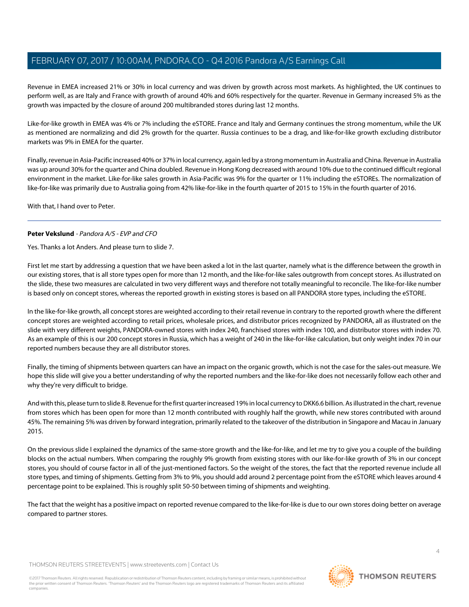Revenue in EMEA increased 21% or 30% in local currency and was driven by growth across most markets. As highlighted, the UK continues to perform well, as are Italy and France with growth of around 40% and 60% respectively for the quarter. Revenue in Germany increased 5% as the growth was impacted by the closure of around 200 multibranded stores during last 12 months.

Like-for-like growth in EMEA was 4% or 7% including the eSTORE. France and Italy and Germany continues the strong momentum, while the UK as mentioned are normalizing and did 2% growth for the quarter. Russia continues to be a drag, and like-for-like growth excluding distributor markets was 9% in EMEA for the quarter.

Finally, revenue in Asia-Pacific increased 40% or 37% in local currency, again led by a strong momentum in Australia and China. Revenue in Australia was up around 30% for the quarter and China doubled. Revenue in Hong Kong decreased with around 10% due to the continued difficult regional environment in the market. Like-for-like sales growth in Asia-Pacific was 9% for the quarter or 11% including the eSTOREs. The normalization of like-for-like was primarily due to Australia going from 42% like-for-like in the fourth quarter of 2015 to 15% in the fourth quarter of 2016.

<span id="page-3-0"></span>With that, I hand over to Peter.

# **Peter Vekslund** - Pandora A/S - EVP and CFO

Yes. Thanks a lot Anders. And please turn to slide 7.

First let me start by addressing a question that we have been asked a lot in the last quarter, namely what is the difference between the growth in our existing stores, that is all store types open for more than 12 month, and the like-for-like sales outgrowth from concept stores. As illustrated on the slide, these two measures are calculated in two very different ways and therefore not totally meaningful to reconcile. The like-for-like number is based only on concept stores, whereas the reported growth in existing stores is based on all PANDORA store types, including the eSTORE.

In the like-for-like growth, all concept stores are weighted according to their retail revenue in contrary to the reported growth where the different concept stores are weighted according to retail prices, wholesale prices, and distributor prices recognized by PANDORA, all as illustrated on the slide with very different weights, PANDORA-owned stores with index 240, franchised stores with index 100, and distributor stores with index 70. As an example of this is our 200 concept stores in Russia, which has a weight of 240 in the like-for-like calculation, but only weight index 70 in our reported numbers because they are all distributor stores.

Finally, the timing of shipments between quarters can have an impact on the organic growth, which is not the case for the sales-out measure. We hope this slide will give you a better understanding of why the reported numbers and the like-for-like does not necessarily follow each other and why they're very difficult to bridge.

And with this, please turn to slide 8. Revenue for the first quarter increased 19% in local currency to DKK6.6 billion. As illustrated in the chart, revenue from stores which has been open for more than 12 month contributed with roughly half the growth, while new stores contributed with around 45%. The remaining 5% was driven by forward integration, primarily related to the takeover of the distribution in Singapore and Macau in January 2015.

On the previous slide I explained the dynamics of the same-store growth and the like-for-like, and let me try to give you a couple of the building blocks on the actual numbers. When comparing the roughly 9% growth from existing stores with our like-for-like growth of 3% in our concept stores, you should of course factor in all of the just-mentioned factors. So the weight of the stores, the fact that the reported revenue include all store types, and timing of shipments. Getting from 3% to 9%, you should add around 2 percentage point from the eSTORE which leaves around 4 percentage point to be explained. This is roughly split 50-50 between timing of shipments and weighting.

The fact that the weight has a positive impact on reported revenue compared to the like-for-like is due to our own stores doing better on average compared to partner stores.

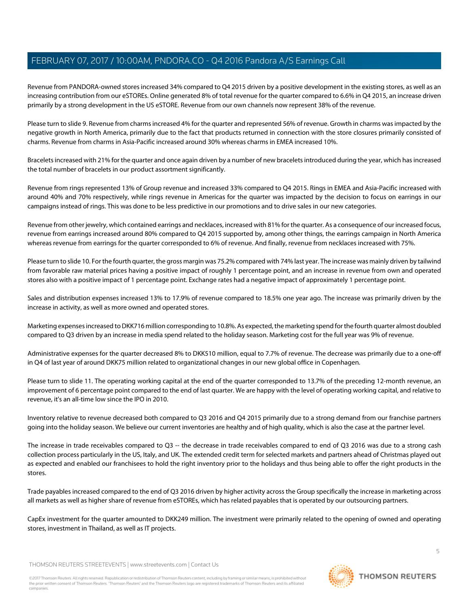Revenue from PANDORA-owned stores increased 34% compared to Q4 2015 driven by a positive development in the existing stores, as well as an increasing contribution from our eSTOREs. Online generated 8% of total revenue for the quarter compared to 6.6% in Q4 2015, an increase driven primarily by a strong development in the US eSTORE. Revenue from our own channels now represent 38% of the revenue.

Please turn to slide 9. Revenue from charms increased 4% for the quarter and represented 56% of revenue. Growth in charms was impacted by the negative growth in North America, primarily due to the fact that products returned in connection with the store closures primarily consisted of charms. Revenue from charms in Asia-Pacific increased around 30% whereas charms in EMEA increased 10%.

Bracelets increased with 21% for the quarter and once again driven by a number of new bracelets introduced during the year, which has increased the total number of bracelets in our product assortment significantly.

Revenue from rings represented 13% of Group revenue and increased 33% compared to Q4 2015. Rings in EMEA and Asia-Pacific increased with around 40% and 70% respectively, while rings revenue in Americas for the quarter was impacted by the decision to focus on earrings in our campaigns instead of rings. This was done to be less predictive in our promotions and to drive sales in our new categories.

Revenue from other jewelry, which contained earrings and necklaces, increased with 81% for the quarter. As a consequence of our increased focus, revenue from earrings increased around 80% compared to Q4 2015 supported by, among other things, the earrings campaign in North America whereas revenue from earrings for the quarter corresponded to 6% of revenue. And finally, revenue from necklaces increased with 75%.

Please turn to slide 10. For the fourth quarter, the gross margin was 75.2% compared with 74% last year. The increase was mainly driven by tailwind from favorable raw material prices having a positive impact of roughly 1 percentage point, and an increase in revenue from own and operated stores also with a positive impact of 1 percentage point. Exchange rates had a negative impact of approximately 1 percentage point.

Sales and distribution expenses increased 13% to 17.9% of revenue compared to 18.5% one year ago. The increase was primarily driven by the increase in activity, as well as more owned and operated stores.

Marketing expenses increased to DKK716 million corresponding to 10.8%. As expected, the marketing spend for the fourth quarter almost doubled compared to Q3 driven by an increase in media spend related to the holiday season. Marketing cost for the full year was 9% of revenue.

Administrative expenses for the quarter decreased 8% to DKK510 million, equal to 7.7% of revenue. The decrease was primarily due to a one-off in Q4 of last year of around DKK75 million related to organizational changes in our new global office in Copenhagen.

Please turn to slide 11. The operating working capital at the end of the quarter corresponded to 13.7% of the preceding 12-month revenue, an improvement of 6 percentage point compared to the end of last quarter. We are happy with the level of operating working capital, and relative to revenue, it's an all-time low since the IPO in 2010.

Inventory relative to revenue decreased both compared to Q3 2016 and Q4 2015 primarily due to a strong demand from our franchise partners going into the holiday season. We believe our current inventories are healthy and of high quality, which is also the case at the partner level.

The increase in trade receivables compared to Q3 -- the decrease in trade receivables compared to end of Q3 2016 was due to a strong cash collection process particularly in the US, Italy, and UK. The extended credit term for selected markets and partners ahead of Christmas played out as expected and enabled our franchisees to hold the right inventory prior to the holidays and thus being able to offer the right products in the stores.

Trade payables increased compared to the end of Q3 2016 driven by higher activity across the Group specifically the increase in marketing across all markets as well as higher share of revenue from eSTOREs, which has related payables that is operated by our outsourcing partners.

CapEx investment for the quarter amounted to DKK249 million. The investment were primarily related to the opening of owned and operating stores, investment in Thailand, as well as IT projects.

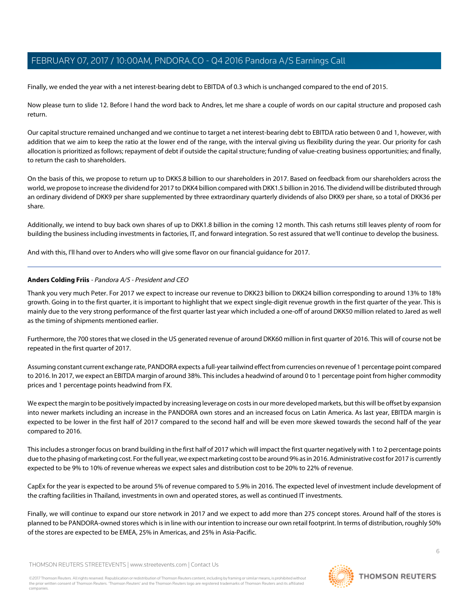Finally, we ended the year with a net interest-bearing debt to EBITDA of 0.3 which is unchanged compared to the end of 2015.

Now please turn to slide 12. Before I hand the word back to Andres, let me share a couple of words on our capital structure and proposed cash return.

Our capital structure remained unchanged and we continue to target a net interest-bearing debt to EBITDA ratio between 0 and 1, however, with addition that we aim to keep the ratio at the lower end of the range, with the interval giving us flexibility during the year. Our priority for cash allocation is prioritized as follows; repayment of debt if outside the capital structure; funding of value-creating business opportunities; and finally, to return the cash to shareholders.

On the basis of this, we propose to return up to DKK5.8 billion to our shareholders in 2017. Based on feedback from our shareholders across the world, we propose to increase the dividend for 2017 to DKK4 billion compared with DKK1.5 billion in 2016. The dividend will be distributed through an ordinary dividend of DKK9 per share supplemented by three extraordinary quarterly dividends of also DKK9 per share, so a total of DKK36 per share.

Additionally, we intend to buy back own shares of up to DKK1.8 billion in the coming 12 month. This cash returns still leaves plenty of room for building the business including investments in factories, IT, and forward integration. So rest assured that we'll continue to develop the business.

And with this, I'll hand over to Anders who will give some flavor on our financial guidance for 2017.

# **Anders Colding Friis** - Pandora A/S - President and CEO

Thank you very much Peter. For 2017 we expect to increase our revenue to DKK23 billion to DKK24 billion corresponding to around 13% to 18% growth. Going in to the first quarter, it is important to highlight that we expect single-digit revenue growth in the first quarter of the year. This is mainly due to the very strong performance of the first quarter last year which included a one-off of around DKK50 million related to Jared as well as the timing of shipments mentioned earlier.

Furthermore, the 700 stores that we closed in the US generated revenue of around DKK60 million in first quarter of 2016. This will of course not be repeated in the first quarter of 2017.

Assuming constant current exchange rate, PANDORA expects a full-year tailwind effect from currencies on revenue of 1 percentage point compared to 2016. In 2017, we expect an EBITDA margin of around 38%. This includes a headwind of around 0 to 1 percentage point from higher commodity prices and 1 percentage points headwind from FX.

We expect the margin to be positively impacted by increasing leverage on costs in our more developed markets, but this will be offset by expansion into newer markets including an increase in the PANDORA own stores and an increased focus on Latin America. As last year, EBITDA margin is expected to be lower in the first half of 2017 compared to the second half and will be even more skewed towards the second half of the year compared to 2016.

This includes a stronger focus on brand building in the first half of 2017 which will impact the first quarter negatively with 1 to 2 percentage points due to the phasing of marketing cost. For the full year, we expect marketing cost to be around 9% as in 2016. Administrative cost for 2017 is currently expected to be 9% to 10% of revenue whereas we expect sales and distribution cost to be 20% to 22% of revenue.

CapEx for the year is expected to be around 5% of revenue compared to 5.9% in 2016. The expected level of investment include development of the crafting facilities in Thailand, investments in own and operated stores, as well as continued IT investments.

Finally, we will continue to expand our store network in 2017 and we expect to add more than 275 concept stores. Around half of the stores is planned to be PANDORA-owned stores which is in line with our intention to increase our own retail footprint. In terms of distribution, roughly 50% of the stores are expected to be EMEA, 25% in Americas, and 25% in Asia-Pacific.

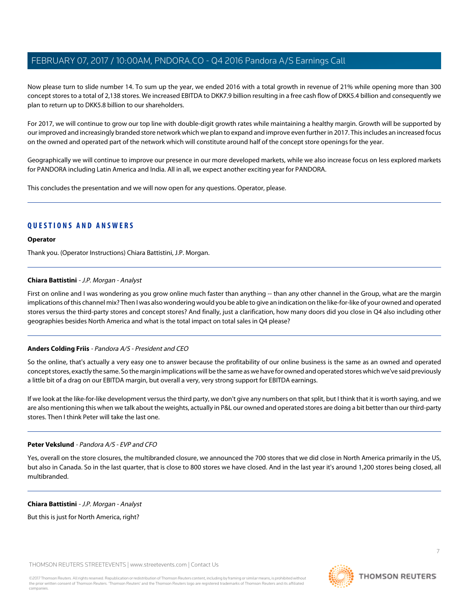Now please turn to slide number 14. To sum up the year, we ended 2016 with a total growth in revenue of 21% while opening more than 300 concept stores to a total of 2,138 stores. We increased EBITDA to DKK7.9 billion resulting in a free cash flow of DKK5.4 billion and consequently we plan to return up to DKK5.8 billion to our shareholders.

For 2017, we will continue to grow our top line with double-digit growth rates while maintaining a healthy margin. Growth will be supported by our improved and increasingly branded store network which we plan to expand and improve even further in 2017. This includes an increased focus on the owned and operated part of the network which will constitute around half of the concept store openings for the year.

Geographically we will continue to improve our presence in our more developed markets, while we also increase focus on less explored markets for PANDORA including Latin America and India. All in all, we expect another exciting year for PANDORA.

This concludes the presentation and we will now open for any questions. Operator, please.

# **QUESTIONS AND ANSWERS**

### **Operator**

<span id="page-6-0"></span>Thank you. (Operator Instructions) Chiara Battistini, J.P. Morgan.

### **Chiara Battistini** - J.P. Morgan - Analyst

First on online and I was wondering as you grow online much faster than anything -- than any other channel in the Group, what are the margin implications of this channel mix? Then I was also wondering would you be able to give an indication on the like-for-like of your owned and operated stores versus the third-party stores and concept stores? And finally, just a clarification, how many doors did you close in Q4 also including other geographies besides North America and what is the total impact on total sales in Q4 please?

# **Anders Colding Friis** - Pandora A/S - President and CEO

So the online, that's actually a very easy one to answer because the profitability of our online business is the same as an owned and operated concept stores, exactly the same. So the margin implications will be the same as we have for owned and operated stores which we've said previously a little bit of a drag on our EBITDA margin, but overall a very, very strong support for EBITDA earnings.

If we look at the like-for-like development versus the third party, we don't give any numbers on that split, but I think that it is worth saying, and we are also mentioning this when we talk about the weights, actually in P&L our owned and operated stores are doing a bit better than our third-party stores. Then I think Peter will take the last one.

# **Peter Vekslund** - Pandora A/S - EVP and CFO

Yes, overall on the store closures, the multibranded closure, we announced the 700 stores that we did close in North America primarily in the US, but also in Canada. So in the last quarter, that is close to 800 stores we have closed. And in the last year it's around 1,200 stores being closed, all multibranded.

# **Chiara Battistini** - J.P. Morgan - Analyst

But this is just for North America, right?

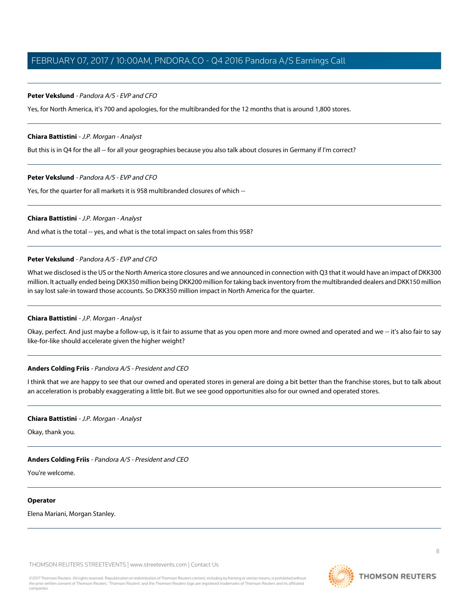## **Peter Vekslund** - Pandora A/S - EVP and CFO

Yes, for North America, it's 700 and apologies, for the multibranded for the 12 months that is around 1,800 stores.

#### **Chiara Battistini** - J.P. Morgan - Analyst

But this is in Q4 for the all -- for all your geographies because you also talk about closures in Germany if I'm correct?

#### **Peter Vekslund** - Pandora A/S - EVP and CFO

Yes, for the quarter for all markets it is 958 multibranded closures of which --

#### **Chiara Battistini** - J.P. Morgan - Analyst

And what is the total -- yes, and what is the total impact on sales from this 958?

#### **Peter Vekslund** - Pandora A/S - EVP and CFO

What we disclosed is the US or the North America store closures and we announced in connection with Q3 that it would have an impact of DKK300 million. It actually ended being DKK350 million being DKK200 million for taking back inventory from the multibranded dealers and DKK150 million in say lost sale-in toward those accounts. So DKK350 million impact in North America for the quarter.

## **Chiara Battistini** - J.P. Morgan - Analyst

Okay, perfect. And just maybe a follow-up, is it fair to assume that as you open more and more owned and operated and we -- it's also fair to say like-for-like should accelerate given the higher weight?

#### **Anders Colding Friis** - Pandora A/S - President and CEO

I think that we are happy to see that our owned and operated stores in general are doing a bit better than the franchise stores, but to talk about an acceleration is probably exaggerating a little bit. But we see good opportunities also for our owned and operated stores.

#### **Chiara Battistini** - J.P. Morgan - Analyst

Okay, thank you.

#### **Anders Colding Friis** - Pandora A/S - President and CEO

You're welcome.

#### **Operator**

Elena Mariani, Morgan Stanley.

THOMSON REUTERS STREETEVENTS | [www.streetevents.com](http://www.streetevents.com) | [Contact Us](http://www010.streetevents.com/contact.asp)

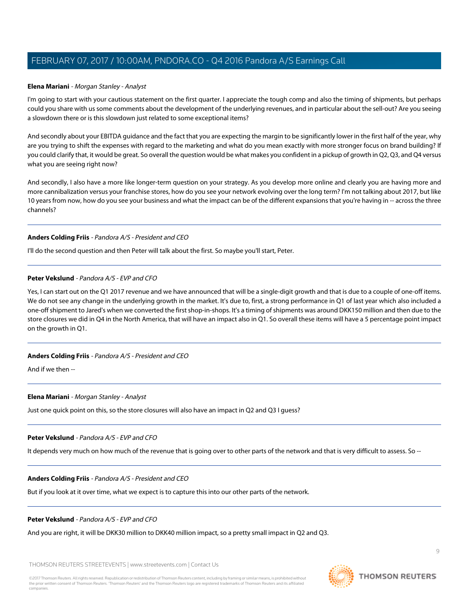#### <span id="page-8-0"></span>**Elena Mariani** - Morgan Stanley - Analyst

I'm going to start with your cautious statement on the first quarter. I appreciate the tough comp and also the timing of shipments, but perhaps could you share with us some comments about the development of the underlying revenues, and in particular about the sell-out? Are you seeing a slowdown there or is this slowdown just related to some exceptional items?

And secondly about your EBITDA guidance and the fact that you are expecting the margin to be significantly lower in the first half of the year, why are you trying to shift the expenses with regard to the marketing and what do you mean exactly with more stronger focus on brand building? If you could clarify that, it would be great. So overall the question would be what makes you confident in a pickup of growth in Q2, Q3, and Q4 versus what you are seeing right now?

And secondly, I also have a more like longer-term question on your strategy. As you develop more online and clearly you are having more and more cannibalization versus your franchise stores, how do you see your network evolving over the long term? I'm not talking about 2017, but like 10 years from now, how do you see your business and what the impact can be of the different expansions that you're having in -- across the three channels?

### **Anders Colding Friis** - Pandora A/S - President and CEO

I'll do the second question and then Peter will talk about the first. So maybe you'll start, Peter.

## **Peter Vekslund** - Pandora A/S - EVP and CFO

Yes, I can start out on the Q1 2017 revenue and we have announced that will be a single-digit growth and that is due to a couple of one-off items. We do not see any change in the underlying growth in the market. It's due to, first, a strong performance in Q1 of last year which also included a one-off shipment to Jared's when we converted the first shop-in-shops. It's a timing of shipments was around DKK150 million and then due to the store closures we did in Q4 in the North America, that will have an impact also in Q1. So overall these items will have a 5 percentage point impact on the growth in Q1.

#### **Anders Colding Friis** - Pandora A/S - President and CEO

And if we then --

#### **Elena Mariani** - Morgan Stanley - Analyst

Just one quick point on this, so the store closures will also have an impact in Q2 and Q3 I guess?

#### **Peter Vekslund** - Pandora A/S - EVP and CFO

It depends very much on how much of the revenue that is going over to other parts of the network and that is very difficult to assess. So --

#### **Anders Colding Friis** - Pandora A/S - President and CEO

But if you look at it over time, what we expect is to capture this into our other parts of the network.

#### **Peter Vekslund** - Pandora A/S - EVP and CFO

And you are right, it will be DKK30 million to DKK40 million impact, so a pretty small impact in Q2 and Q3.

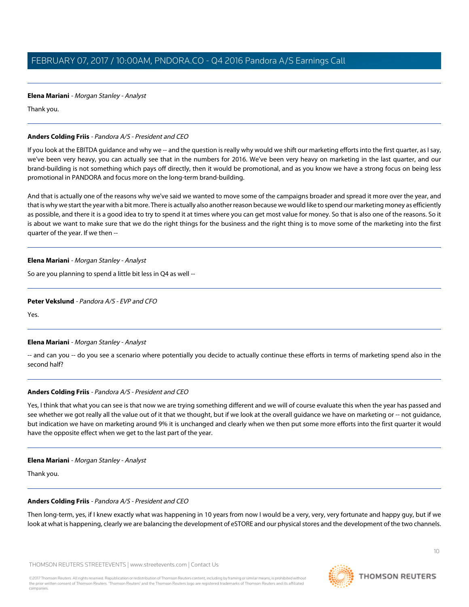# **Elena Mariani** - Morgan Stanley - Analyst

Thank you.

# **Anders Colding Friis** - Pandora A/S - President and CEO

If you look at the EBITDA guidance and why we -- and the question is really why would we shift our marketing efforts into the first quarter, as I say, we've been very heavy, you can actually see that in the numbers for 2016. We've been very heavy on marketing in the last quarter, and our brand-building is not something which pays off directly, then it would be promotional, and as you know we have a strong focus on being less promotional in PANDORA and focus more on the long-term brand-building.

And that is actually one of the reasons why we've said we wanted to move some of the campaigns broader and spread it more over the year, and that is why we start the year with a bit more. There is actually also another reason because we would like to spend our marketing money as efficiently as possible, and there it is a good idea to try to spend it at times where you can get most value for money. So that is also one of the reasons. So it is about we want to make sure that we do the right things for the business and the right thing is to move some of the marketing into the first quarter of the year. If we then --

# **Elena Mariani** - Morgan Stanley - Analyst

So are you planning to spend a little bit less in Q4 as well --

## **Peter Vekslund** - Pandora A/S - EVP and CFO

Yes.

# **Elena Mariani** - Morgan Stanley - Analyst

-- and can you -- do you see a scenario where potentially you decide to actually continue these efforts in terms of marketing spend also in the second half?

# **Anders Colding Friis** - Pandora A/S - President and CEO

Yes, I think that what you can see is that now we are trying something different and we will of course evaluate this when the year has passed and see whether we got really all the value out of it that we thought, but if we look at the overall guidance we have on marketing or -- not guidance, but indication we have on marketing around 9% it is unchanged and clearly when we then put some more efforts into the first quarter it would have the opposite effect when we get to the last part of the year.

# **Elena Mariani** - Morgan Stanley - Analyst

Thank you.

# **Anders Colding Friis** - Pandora A/S - President and CEO

Then long-term, yes, if I knew exactly what was happening in 10 years from now I would be a very, very, very fortunate and happy guy, but if we look at what is happening, clearly we are balancing the development of eSTORE and our physical stores and the development of the two channels.

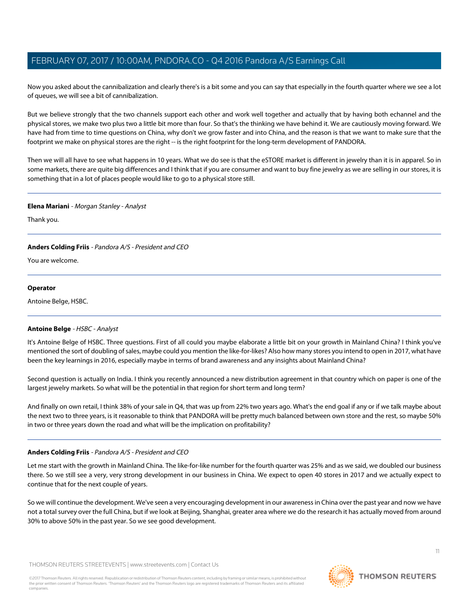Now you asked about the cannibalization and clearly there's is a bit some and you can say that especially in the fourth quarter where we see a lot of queues, we will see a bit of cannibalization.

But we believe strongly that the two channels support each other and work well together and actually that by having both echannel and the physical stores, we make two plus two a little bit more than four. So that's the thinking we have behind it. We are cautiously moving forward. We have had from time to time questions on China, why don't we grow faster and into China, and the reason is that we want to make sure that the footprint we make on physical stores are the right -- is the right footprint for the long-term development of PANDORA.

Then we will all have to see what happens in 10 years. What we do see is that the eSTORE market is different in jewelry than it is in apparel. So in some markets, there are quite big differences and I think that if you are consumer and want to buy fine jewelry as we are selling in our stores, it is something that in a lot of places people would like to go to a physical store still.

# **Elena Mariani** - Morgan Stanley - Analyst

Thank you.

# **Anders Colding Friis** - Pandora A/S - President and CEO

You are welcome.

### **Operator**

<span id="page-10-0"></span>Antoine Belge, HSBC.

# **Antoine Belge** - HSBC - Analyst

It's Antoine Belge of HSBC. Three questions. First of all could you maybe elaborate a little bit on your growth in Mainland China? I think you've mentioned the sort of doubling of sales, maybe could you mention the like-for-likes? Also how many stores you intend to open in 2017, what have been the key learnings in 2016, especially maybe in terms of brand awareness and any insights about Mainland China?

Second question is actually on India. I think you recently announced a new distribution agreement in that country which on paper is one of the largest jewelry markets. So what will be the potential in that region for short term and long term?

And finally on own retail, I think 38% of your sale in Q4, that was up from 22% two years ago. What's the end goal if any or if we talk maybe about the next two to three years, is it reasonable to think that PANDORA will be pretty much balanced between own store and the rest, so maybe 50% in two or three years down the road and what will be the implication on profitability?

# **Anders Colding Friis** - Pandora A/S - President and CEO

Let me start with the growth in Mainland China. The like-for-like number for the fourth quarter was 25% and as we said, we doubled our business there. So we still see a very, very strong development in our business in China. We expect to open 40 stores in 2017 and we actually expect to continue that for the next couple of years.

So we will continue the development. We've seen a very encouraging development in our awareness in China over the past year and now we have not a total survey over the full China, but if we look at Beijing, Shanghai, greater area where we do the research it has actually moved from around 30% to above 50% in the past year. So we see good development.

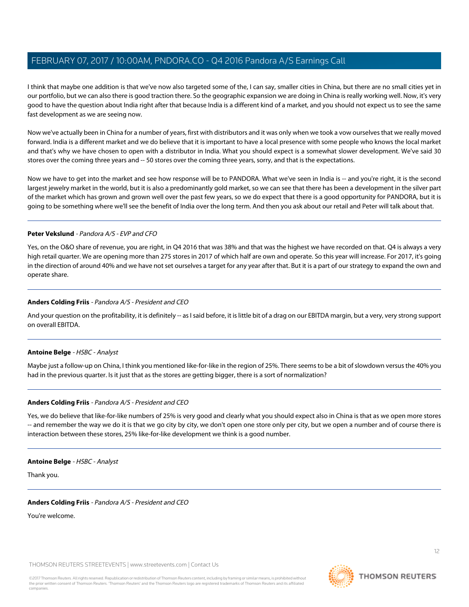I think that maybe one addition is that we've now also targeted some of the, I can say, smaller cities in China, but there are no small cities yet in our portfolio, but we can also there is good traction there. So the geographic expansion we are doing in China is really working well. Now, it's very good to have the question about India right after that because India is a different kind of a market, and you should not expect us to see the same fast development as we are seeing now.

Now we've actually been in China for a number of years, first with distributors and it was only when we took a vow ourselves that we really moved forward. India is a different market and we do believe that it is important to have a local presence with some people who knows the local market and that's why we have chosen to open with a distributor in India. What you should expect is a somewhat slower development. We've said 30 stores over the coming three years and -- 50 stores over the coming three years, sorry, and that is the expectations.

Now we have to get into the market and see how response will be to PANDORA. What we've seen in India is -- and you're right, it is the second largest jewelry market in the world, but it is also a predominantly gold market, so we can see that there has been a development in the silver part of the market which has grown and grown well over the past few years, so we do expect that there is a good opportunity for PANDORA, but it is going to be something where we'll see the benefit of India over the long term. And then you ask about our retail and Peter will talk about that.

# **Peter Vekslund** - Pandora A/S - EVP and CFO

Yes, on the O&O share of revenue, you are right, in Q4 2016 that was 38% and that was the highest we have recorded on that. Q4 is always a very high retail quarter. We are opening more than 275 stores in 2017 of which half are own and operate. So this year will increase. For 2017, it's going in the direction of around 40% and we have not set ourselves a target for any year after that. But it is a part of our strategy to expand the own and operate share.

# **Anders Colding Friis** - Pandora A/S - President and CEO

And your question on the profitability, it is definitely -- as I said before, it is little bit of a drag on our EBITDA margin, but a very, very strong support on overall EBITDA.

# **Antoine Belge** - HSBC - Analyst

Maybe just a follow-up on China, I think you mentioned like-for-like in the region of 25%. There seems to be a bit of slowdown versus the 40% you had in the previous quarter. Is it just that as the stores are getting bigger, there is a sort of normalization?

# **Anders Colding Friis** - Pandora A/S - President and CEO

Yes, we do believe that like-for-like numbers of 25% is very good and clearly what you should expect also in China is that as we open more stores -- and remember the way we do it is that we go city by city, we don't open one store only per city, but we open a number and of course there is interaction between these stores, 25% like-for-like development we think is a good number.

# **Antoine Belge** - HSBC - Analyst

Thank you.

# **Anders Colding Friis** - Pandora A/S - President and CEO

You're welcome.

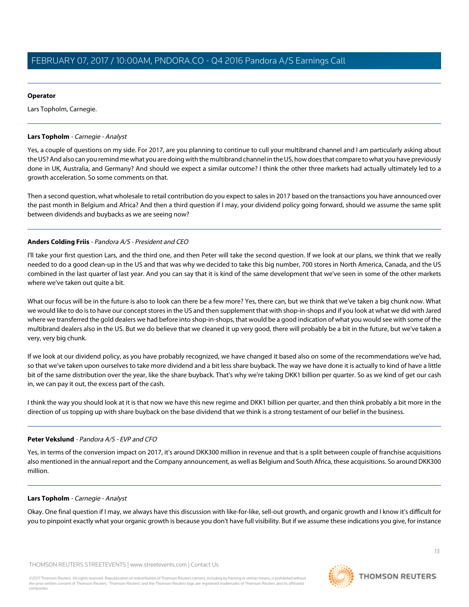# **Operator**

Lars Topholm, Carnegie.

## <span id="page-12-0"></span>**Lars Topholm** - Carnegie - Analyst

Yes, a couple of questions on my side. For 2017, are you planning to continue to cull your multibrand channel and I am particularly asking about the US? And also can you remind me what you are doing with the multibrand channel in the US, how does that compare to what you have previously done in UK, Australia, and Germany? And should we expect a similar outcome? I think the other three markets had actually ultimately led to a growth acceleration. So some comments on that.

Then a second question, what wholesale to retail contribution do you expect to sales in 2017 based on the transactions you have announced over the past month in Belgium and Africa? And then a third question if I may, your dividend policy going forward, should we assume the same split between dividends and buybacks as we are seeing now?

# **Anders Colding Friis** - Pandora A/S - President and CEO

I'll take your first question Lars, and the third one, and then Peter will take the second question. If we look at our plans, we think that we really needed to do a good clean-up in the US and that was why we decided to take this big number, 700 stores in North America, Canada, and the US combined in the last quarter of last year. And you can say that it is kind of the same development that we've seen in some of the other markets where we've taken out quite a bit.

What our focus will be in the future is also to look can there be a few more? Yes, there can, but we think that we've taken a big chunk now. What we would like to do is to have our concept stores in the US and then supplement that with shop-in-shops and if you look at what we did with Jared where we transferred the gold dealers we had before into shop-in-shops, that would be a good indication of what you would see with some of the multibrand dealers also in the US. But we do believe that we cleaned it up very good, there will probably be a bit in the future, but we've taken a very, very big chunk.

If we look at our dividend policy, as you have probably recognized, we have changed it based also on some of the recommendations we've had, so that we've taken upon ourselves to take more dividend and a bit less share buyback. The way we have done it is actually to kind of have a little bit of the same distribution over the year, like the share buyback. That's why we're taking DKK1 billion per quarter. So as we kind of get our cash in, we can pay it out, the excess part of the cash.

I think the way you should look at it is that now we have this new regime and DKK1 billion per quarter, and then think probably a bit more in the direction of us topping up with share buyback on the base dividend that we think is a strong testament of our belief in the business.

# **Peter Vekslund** - Pandora A/S - EVP and CFO

Yes, in terms of the conversion impact on 2017, it's around DKK300 million in revenue and that is a split between couple of franchise acquisitions also mentioned in the annual report and the Company announcement, as well as Belgium and South Africa, these acquisitions. So around DKK300 million.

# **Lars Topholm** - Carnegie - Analyst

Okay. One final question if I may, we always have this discussion with like-for-like, sell-out growth, and organic growth and I know it's difficult for you to pinpoint exactly what your organic growth is because you don't have full visibility. But if we assume these indications you give, for instance

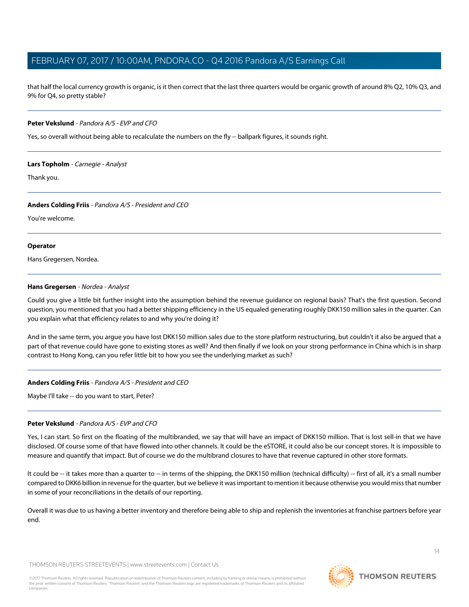that half the local currency growth is organic, is it then correct that the last three quarters would be organic growth of around 8% Q2, 10% Q3, and 9% for Q4, so pretty stable?

### **Peter Vekslund** - Pandora A/S - EVP and CFO

Yes, so overall without being able to recalculate the numbers on the fly -- ballpark figures, it sounds right.

### **Lars Topholm** - Carnegie - Analyst

Thank you.

### **Anders Colding Friis** - Pandora A/S - President and CEO

You're welcome.

### **Operator**

<span id="page-13-0"></span>Hans Gregersen, Nordea.

### **Hans Gregersen** - Nordea - Analyst

Could you give a little bit further insight into the assumption behind the revenue guidance on regional basis? That's the first question. Second question, you mentioned that you had a better shipping efficiency in the US equaled generating roughly DKK150 million sales in the quarter. Can you explain what that efficiency relates to and why you're doing it?

And in the same term, you argue you have lost DKK150 million sales due to the store platform restructuring, but couldn't it also be argued that a part of that revenue could have gone to existing stores as well? And then finally if we look on your strong performance in China which is in sharp contrast to Hong Kong, can you refer little bit to how you see the underlying market as such?

# **Anders Colding Friis** - Pandora A/S - President and CEO

Maybe I'll take -- do you want to start, Peter?

# **Peter Vekslund** - Pandora A/S - EVP and CFO

Yes, I can start. So first on the floating of the multibranded, we say that will have an impact of DKK150 million. That is lost sell-in that we have disclosed. Of course some of that have flowed into other channels. It could be the eSTORE, it could also be our concept stores. It is impossible to measure and quantify that impact. But of course we do the multibrand closures to have that revenue captured in other store formats.

It could be -- it takes more than a quarter to -- in terms of the shipping, the DKK150 million (technical difficulty) -- first of all, it's a small number compared to DKK6 billion in revenue for the quarter, but we believe it was important to mention it because otherwise you would miss that number in some of your reconciliations in the details of our reporting.

Overall it was due to us having a better inventory and therefore being able to ship and replenish the inventories at franchise partners before year end.

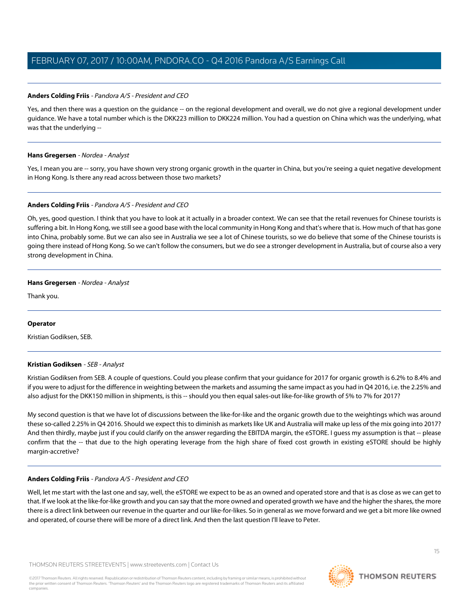# **Anders Colding Friis** - Pandora A/S - President and CEO

Yes, and then there was a question on the quidance -- on the regional development and overall, we do not give a regional development under guidance. We have a total number which is the DKK223 million to DKK224 million. You had a question on China which was the underlying, what was that the underlying --

# **Hans Gregersen** - Nordea - Analyst

Yes, I mean you are -- sorry, you have shown very strong organic growth in the quarter in China, but you're seeing a quiet negative development in Hong Kong. Is there any read across between those two markets?

# **Anders Colding Friis** - Pandora A/S - President and CEO

Oh, yes, good question. I think that you have to look at it actually in a broader context. We can see that the retail revenues for Chinese tourists is suffering a bit. In Hong Kong, we still see a good base with the local community in Hong Kong and that's where that is. How much of that has gone into China, probably some. But we can also see in Australia we see a lot of Chinese tourists, so we do believe that some of the Chinese tourists is going there instead of Hong Kong. So we can't follow the consumers, but we do see a stronger development in Australia, but of course also a very strong development in China.

# **Hans Gregersen** - Nordea - Analyst

Thank you.

# <span id="page-14-0"></span>**Operator**

Kristian Godiksen, SEB.

# **Kristian Godiksen** - SEB - Analyst

Kristian Godiksen from SEB. A couple of questions. Could you please confirm that your guidance for 2017 for organic growth is 6.2% to 8.4% and if you were to adjust for the difference in weighting between the markets and assuming the same impact as you had in Q4 2016, i.e. the 2.25% and also adjust for the DKK150 million in shipments, is this -- should you then equal sales-out like-for-like growth of 5% to 7% for 2017?

My second question is that we have lot of discussions between the like-for-like and the organic growth due to the weightings which was around these so-called 2.25% in Q4 2016. Should we expect this to diminish as markets like UK and Australia will make up less of the mix going into 2017? And then thirdly, maybe just if you could clarify on the answer regarding the EBITDA margin, the eSTORE. I guess my assumption is that -- please confirm that the -- that due to the high operating leverage from the high share of fixed cost growth in existing eSTORE should be highly margin-accretive?

# **Anders Colding Friis** - Pandora A/S - President and CEO

Well, let me start with the last one and say, well, the eSTORE we expect to be as an owned and operated store and that is as close as we can get to that. If we look at the like-for-like growth and you can say that the more owned and operated growth we have and the higher the shares, the more there is a direct link between our revenue in the quarter and our like-for-likes. So in general as we move forward and we get a bit more like owned and operated, of course there will be more of a direct link. And then the last question I'll leave to Peter.

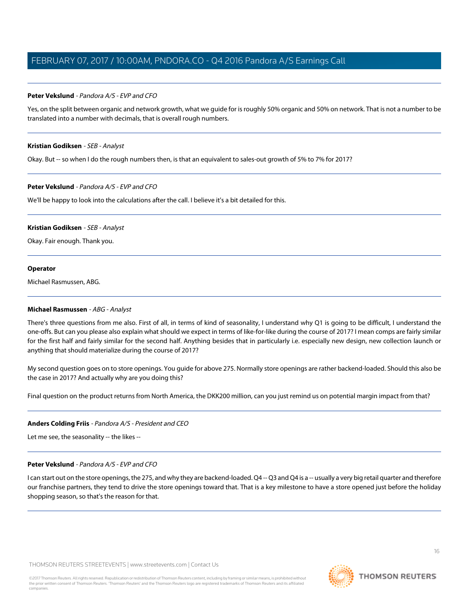### **Peter Vekslund** - Pandora A/S - EVP and CFO

Yes, on the split between organic and network growth, what we guide for is roughly 50% organic and 50% on network. That is not a number to be translated into a number with decimals, that is overall rough numbers.

#### **Kristian Godiksen** - SEB - Analyst

Okay. But -- so when I do the rough numbers then, is that an equivalent to sales-out growth of 5% to 7% for 2017?

### **Peter Vekslund** - Pandora A/S - EVP and CFO

We'll be happy to look into the calculations after the call. I believe it's a bit detailed for this.

#### **Kristian Godiksen** - SEB - Analyst

Okay. Fair enough. Thank you.

#### **Operator**

<span id="page-15-0"></span>Michael Rasmussen, ABG.

#### **Michael Rasmussen** - ABG - Analyst

There's three questions from me also. First of all, in terms of kind of seasonality, I understand why Q1 is going to be difficult, I understand the one-offs. But can you please also explain what should we expect in terms of like-for-like during the course of 2017? I mean comps are fairly similar for the first half and fairly similar for the second half. Anything besides that in particularly i.e. especially new design, new collection launch or anything that should materialize during the course of 2017?

My second question goes on to store openings. You guide for above 275. Normally store openings are rather backend-loaded. Should this also be the case in 2017? And actually why are you doing this?

Final question on the product returns from North America, the DKK200 million, can you just remind us on potential margin impact from that?

# **Anders Colding Friis** - Pandora A/S - President and CEO

Let me see, the seasonality -- the likes --

#### **Peter Vekslund** - Pandora A/S - EVP and CFO

I can start out on the store openings, the 275, and why they are backend-loaded. Q4 -- Q3 and Q4 is a -- usually a very big retail quarter and therefore our franchise partners, they tend to drive the store openings toward that. That is a key milestone to have a store opened just before the holiday shopping season, so that's the reason for that.

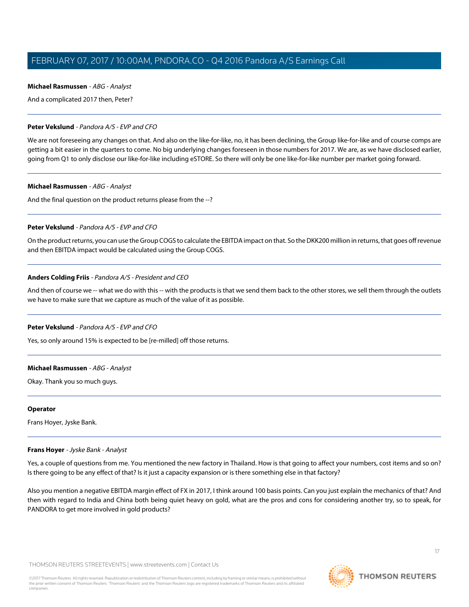#### **Michael Rasmussen** - ABG - Analyst

And a complicated 2017 then, Peter?

### **Peter Vekslund** - Pandora A/S - EVP and CFO

We are not foreseeing any changes on that. And also on the like-for-like, no, it has been declining, the Group like-for-like and of course comps are getting a bit easier in the quarters to come. No big underlying changes foreseen in those numbers for 2017. We are, as we have disclosed earlier, going from Q1 to only disclose our like-for-like including eSTORE. So there will only be one like-for-like number per market going forward.

### **Michael Rasmussen** - ABG - Analyst

And the final question on the product returns please from the --?

### **Peter Vekslund** - Pandora A/S - EVP and CFO

On the product returns, you can use the Group COGS to calculate the EBITDA impact on that. So the DKK200 million in returns, that goes off revenue and then EBITDA impact would be calculated using the Group COGS.

# **Anders Colding Friis** - Pandora A/S - President and CEO

And then of course we -- what we do with this -- with the products is that we send them back to the other stores, we sell them through the outlets we have to make sure that we capture as much of the value of it as possible.

# **Peter Vekslund** - Pandora A/S - EVP and CFO

Yes, so only around 15% is expected to be [re-milled] off those returns.

#### **Michael Rasmussen** - ABG - Analyst

Okay. Thank you so much guys.

#### <span id="page-16-0"></span>**Operator**

Frans Hoyer, Jyske Bank.

#### **Frans Hoyer** - Jyske Bank - Analyst

Yes, a couple of questions from me. You mentioned the new factory in Thailand. How is that going to affect your numbers, cost items and so on? Is there going to be any effect of that? Is it just a capacity expansion or is there something else in that factory?

Also you mention a negative EBITDA margin effect of FX in 2017, I think around 100 basis points. Can you just explain the mechanics of that? And then with regard to India and China both being quiet heavy on gold, what are the pros and cons for considering another try, so to speak, for PANDORA to get more involved in gold products?

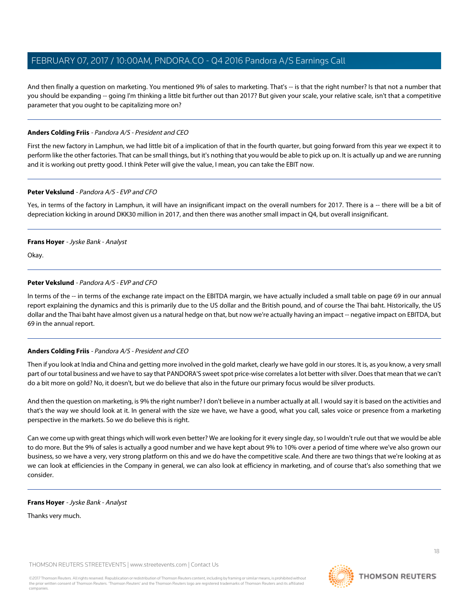And then finally a question on marketing. You mentioned 9% of sales to marketing. That's -- is that the right number? Is that not a number that you should be expanding -- going I'm thinking a little bit further out than 2017? But given your scale, your relative scale, isn't that a competitive parameter that you ought to be capitalizing more on?

# **Anders Colding Friis** - Pandora A/S - President and CEO

First the new factory in Lamphun, we had little bit of a implication of that in the fourth quarter, but going forward from this year we expect it to perform like the other factories. That can be small things, but it's nothing that you would be able to pick up on. It is actually up and we are running and it is working out pretty good. I think Peter will give the value, I mean, you can take the EBIT now.

# **Peter Vekslund** - Pandora A/S - EVP and CFO

Yes, in terms of the factory in Lamphun, it will have an insignificant impact on the overall numbers for 2017. There is a -- there will be a bit of depreciation kicking in around DKK30 million in 2017, and then there was another small impact in Q4, but overall insignificant.

# **Frans Hoyer** - Jyske Bank - Analyst

Okay.

# **Peter Vekslund** - Pandora A/S - EVP and CFO

In terms of the -- in terms of the exchange rate impact on the EBITDA margin, we have actually included a small table on page 69 in our annual report explaining the dynamics and this is primarily due to the US dollar and the British pound, and of course the Thai baht. Historically, the US dollar and the Thai baht have almost given us a natural hedge on that, but now we're actually having an impact -- negative impact on EBITDA, but 69 in the annual report.

# **Anders Colding Friis** - Pandora A/S - President and CEO

Then if you look at India and China and getting more involved in the gold market, clearly we have gold in our stores. It is, as you know, a very small part of our total business and we have to say that PANDORA'S sweet spot price-wise correlates a lot better with silver. Does that mean that we can't do a bit more on gold? No, it doesn't, but we do believe that also in the future our primary focus would be silver products.

And then the question on marketing, is 9% the right number? I don't believe in a number actually at all. I would say it is based on the activities and that's the way we should look at it. In general with the size we have, we have a good, what you call, sales voice or presence from a marketing perspective in the markets. So we do believe this is right.

Can we come up with great things which will work even better? We are looking for it every single day, so I wouldn't rule out that we would be able to do more. But the 9% of sales is actually a good number and we have kept about 9% to 10% over a period of time where we've also grown our business, so we have a very, very strong platform on this and we do have the competitive scale. And there are two things that we're looking at as we can look at efficiencies in the Company in general, we can also look at efficiency in marketing, and of course that's also something that we consider.

# **Frans Hoyer** - Jyske Bank - Analyst

Thanks very much.



**THOMSON REUTERS**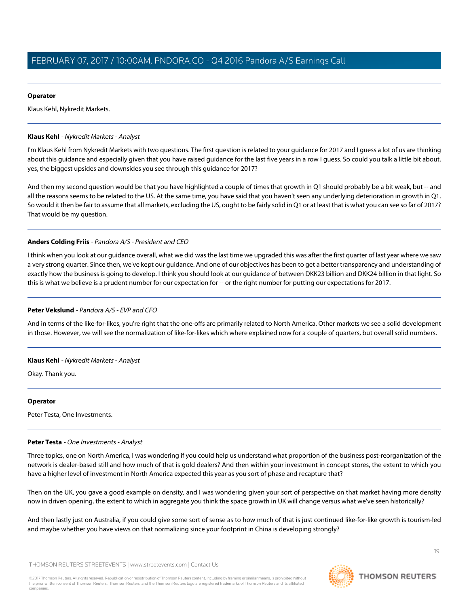## **Operator**

Klaus Kehl, Nykredit Markets.

## <span id="page-18-0"></span>**Klaus Kehl** - Nykredit Markets - Analyst

I'm Klaus Kehl from Nykredit Markets with two questions. The first question is related to your guidance for 2017 and I guess a lot of us are thinking about this guidance and especially given that you have raised guidance for the last five years in a row I guess. So could you talk a little bit about, yes, the biggest upsides and downsides you see through this guidance for 2017?

And then my second question would be that you have highlighted a couple of times that growth in Q1 should probably be a bit weak, but -- and all the reasons seems to be related to the US. At the same time, you have said that you haven't seen any underlying deterioration in growth in Q1. So would it then be fair to assume that all markets, excluding the US, ought to be fairly solid in Q1 or at least that is what you can see so far of 2017? That would be my question.

# **Anders Colding Friis** - Pandora A/S - President and CEO

I think when you look at our guidance overall, what we did was the last time we upgraded this was after the first quarter of last year where we saw a very strong quarter. Since then, we've kept our guidance. And one of our objectives has been to get a better transparency and understanding of exactly how the business is going to develop. I think you should look at our guidance of between DKK23 billion and DKK24 billion in that light. So this is what we believe is a prudent number for our expectation for -- or the right number for putting our expectations for 2017.

# **Peter Vekslund** - Pandora A/S - EVP and CFO

And in terms of the like-for-likes, you're right that the one-offs are primarily related to North America. Other markets we see a solid development in those. However, we will see the normalization of like-for-likes which where explained now for a couple of quarters, but overall solid numbers.

# **Klaus Kehl** - Nykredit Markets - Analyst

Okay. Thank you.

# <span id="page-18-1"></span>**Operator**

Peter Testa, One Investments.

# **Peter Testa** - One Investments - Analyst

Three topics, one on North America, I was wondering if you could help us understand what proportion of the business post-reorganization of the network is dealer-based still and how much of that is gold dealers? And then within your investment in concept stores, the extent to which you have a higher level of investment in North America expected this year as you sort of phase and recapture that?

Then on the UK, you gave a good example on density, and I was wondering given your sort of perspective on that market having more density now in driven opening, the extent to which in aggregate you think the space growth in UK will change versus what we've seen historically?

And then lastly just on Australia, if you could give some sort of sense as to how much of that is just continued like-for-like growth is tourism-led and maybe whether you have views on that normalizing since your footprint in China is developing strongly?

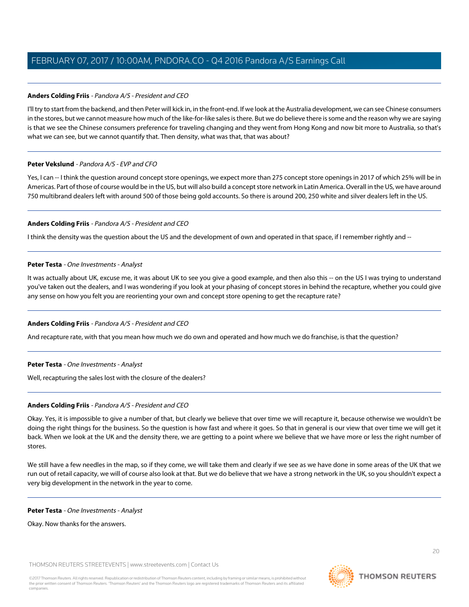# **Anders Colding Friis** - Pandora A/S - President and CEO

I'll try to start from the backend, and then Peter will kick in, in the front-end. If we look at the Australia development, we can see Chinese consumers in the stores, but we cannot measure how much of the like-for-like sales is there. But we do believe there is some and the reason why we are saying is that we see the Chinese consumers preference for traveling changing and they went from Hong Kong and now bit more to Australia, so that's what we can see, but we cannot quantify that. Then density, what was that, that was about?

# **Peter Vekslund** - Pandora A/S - EVP and CFO

Yes, I can -- I think the question around concept store openings, we expect more than 275 concept store openings in 2017 of which 25% will be in Americas. Part of those of course would be in the US, but will also build a concept store network in Latin America. Overall in the US, we have around 750 multibrand dealers left with around 500 of those being gold accounts. So there is around 200, 250 white and silver dealers left in the US.

# **Anders Colding Friis** - Pandora A/S - President and CEO

I think the density was the question about the US and the development of own and operated in that space, if I remember rightly and --

# **Peter Testa** - One Investments - Analyst

It was actually about UK, excuse me, it was about UK to see you give a good example, and then also this -- on the US I was trying to understand you've taken out the dealers, and I was wondering if you look at your phasing of concept stores in behind the recapture, whether you could give any sense on how you felt you are reorienting your own and concept store opening to get the recapture rate?

# **Anders Colding Friis** - Pandora A/S - President and CEO

And recapture rate, with that you mean how much we do own and operated and how much we do franchise, is that the question?

# **Peter Testa** - One Investments - Analyst

Well, recapturing the sales lost with the closure of the dealers?

# **Anders Colding Friis** - Pandora A/S - President and CEO

Okay. Yes, it is impossible to give a number of that, but clearly we believe that over time we will recapture it, because otherwise we wouldn't be doing the right things for the business. So the question is how fast and where it goes. So that in general is our view that over time we will get it back. When we look at the UK and the density there, we are getting to a point where we believe that we have more or less the right number of stores.

We still have a few needles in the map, so if they come, we will take them and clearly if we see as we have done in some areas of the UK that we run out of retail capacity, we will of course also look at that. But we do believe that we have a strong network in the UK, so you shouldn't expect a very big development in the network in the year to come.

#### **Peter Testa** - One Investments - Analyst

Okay. Now thanks for the answers.

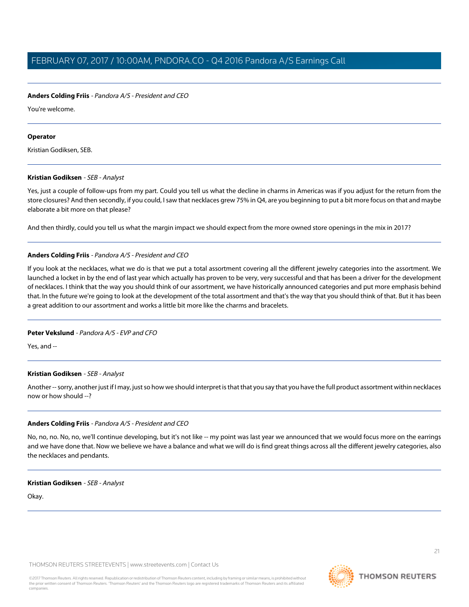## **Anders Colding Friis** - Pandora A/S - President and CEO

You're welcome.

#### **Operator**

Kristian Godiksen, SEB.

### **Kristian Godiksen** - SEB - Analyst

Yes, just a couple of follow-ups from my part. Could you tell us what the decline in charms in Americas was if you adjust for the return from the store closures? And then secondly, if you could, I saw that necklaces grew 75% in Q4, are you beginning to put a bit more focus on that and maybe elaborate a bit more on that please?

And then thirdly, could you tell us what the margin impact we should expect from the more owned store openings in the mix in 2017?

### **Anders Colding Friis** - Pandora A/S - President and CEO

If you look at the necklaces, what we do is that we put a total assortment covering all the different jewelry categories into the assortment. We launched a locket in by the end of last year which actually has proven to be very, very successful and that has been a driver for the development of necklaces. I think that the way you should think of our assortment, we have historically announced categories and put more emphasis behind that. In the future we're going to look at the development of the total assortment and that's the way that you should think of that. But it has been a great addition to our assortment and works a little bit more like the charms and bracelets.

#### **Peter Vekslund** - Pandora A/S - EVP and CFO

Yes, and --

#### **Kristian Godiksen** - SEB - Analyst

Another -- sorry, another just if I may, just so how we should interpret is that that you say that you have the full product assortment within necklaces now or how should --?

# **Anders Colding Friis** - Pandora A/S - President and CEO

No, no, no. No, no, we'll continue developing, but it's not like -- my point was last year we announced that we would focus more on the earrings and we have done that. Now we believe we have a balance and what we will do is find great things across all the different jewelry categories, also the necklaces and pendants.

#### **Kristian Godiksen** - SEB - Analyst

Okay.

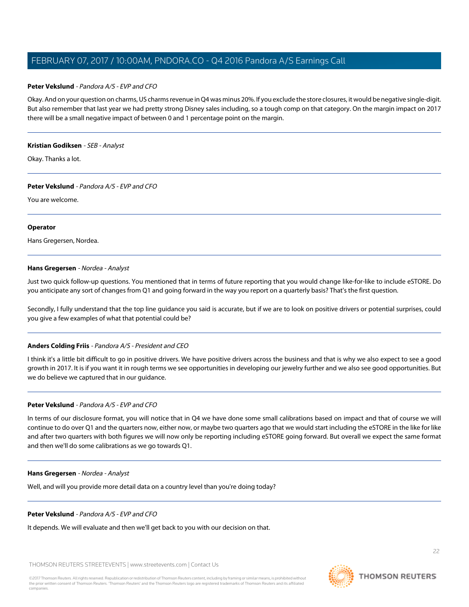### **Peter Vekslund** - Pandora A/S - EVP and CFO

Okay. And on your question on charms, US charms revenue in Q4 was minus 20%. If you exclude the store closures, it would be negative single-digit. But also remember that last year we had pretty strong Disney sales including, so a tough comp on that category. On the margin impact on 2017 there will be a small negative impact of between 0 and 1 percentage point on the margin.

#### **Kristian Godiksen** - SEB - Analyst

Okay. Thanks a lot.

#### **Peter Vekslund** - Pandora A/S - EVP and CFO

You are welcome.

#### **Operator**

Hans Gregersen, Nordea.

#### **Hans Gregersen** - Nordea - Analyst

Just two quick follow-up questions. You mentioned that in terms of future reporting that you would change like-for-like to include eSTORE. Do you anticipate any sort of changes from Q1 and going forward in the way you report on a quarterly basis? That's the first question.

Secondly, I fully understand that the top line guidance you said is accurate, but if we are to look on positive drivers or potential surprises, could you give a few examples of what that potential could be?

#### **Anders Colding Friis** - Pandora A/S - President and CEO

I think it's a little bit difficult to go in positive drivers. We have positive drivers across the business and that is why we also expect to see a good growth in 2017. It is if you want it in rough terms we see opportunities in developing our jewelry further and we also see good opportunities. But we do believe we captured that in our guidance.

## **Peter Vekslund** - Pandora A/S - EVP and CFO

In terms of our disclosure format, you will notice that in Q4 we have done some small calibrations based on impact and that of course we will continue to do over Q1 and the quarters now, either now, or maybe two quarters ago that we would start including the eSTORE in the like for like and after two quarters with both figures we will now only be reporting including eSTORE going forward. But overall we expect the same format and then we'll do some calibrations as we go towards Q1.

#### **Hans Gregersen** - Nordea - Analyst

Well, and will you provide more detail data on a country level than you're doing today?

# **Peter Vekslund** - Pandora A/S - EVP and CFO

It depends. We will evaluate and then we'll get back to you with our decision on that.

THOMSON REUTERS STREETEVENTS | [www.streetevents.com](http://www.streetevents.com) | [Contact Us](http://www010.streetevents.com/contact.asp)

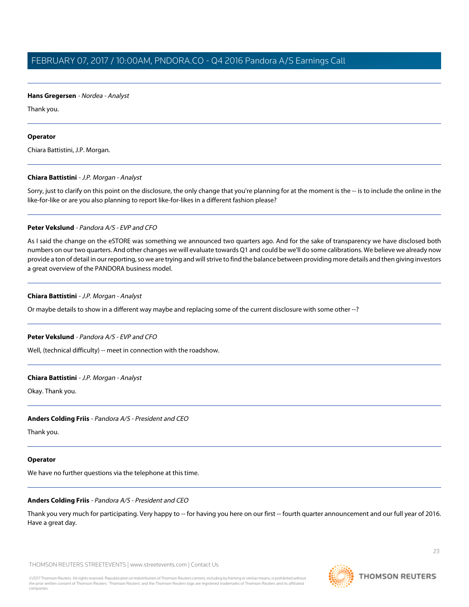## **Hans Gregersen** - Nordea - Analyst

Thank you.

### **Operator**

Chiara Battistini, J.P. Morgan.

### **Chiara Battistini** - J.P. Morgan - Analyst

Sorry, just to clarify on this point on the disclosure, the only change that you're planning for at the moment is the -- is to include the online in the like-for-like or are you also planning to report like-for-likes in a different fashion please?

### **Peter Vekslund** - Pandora A/S - EVP and CFO

As I said the change on the eSTORE was something we announced two quarters ago. And for the sake of transparency we have disclosed both numbers on our two quarters. And other changes we will evaluate towards Q1 and could be we'll do some calibrations. We believe we already now provide a ton of detail in our reporting, so we are trying and will strive to find the balance between providing more details and then giving investors a great overview of the PANDORA business model.

### **Chiara Battistini** - J.P. Morgan - Analyst

Or maybe details to show in a different way maybe and replacing some of the current disclosure with some other --?

# **Peter Vekslund** - Pandora A/S - EVP and CFO

Well, (technical difficulty) -- meet in connection with the roadshow.

#### **Chiara Battistini** - J.P. Morgan - Analyst

Okay. Thank you.

#### **Anders Colding Friis** - Pandora A/S - President and CEO

Thank you.

#### **Operator**

We have no further questions via the telephone at this time.

#### **Anders Colding Friis** - Pandora A/S - President and CEO

Thank you very much for participating. Very happy to -- for having you here on our first -- fourth quarter announcement and our full year of 2016. Have a great day.